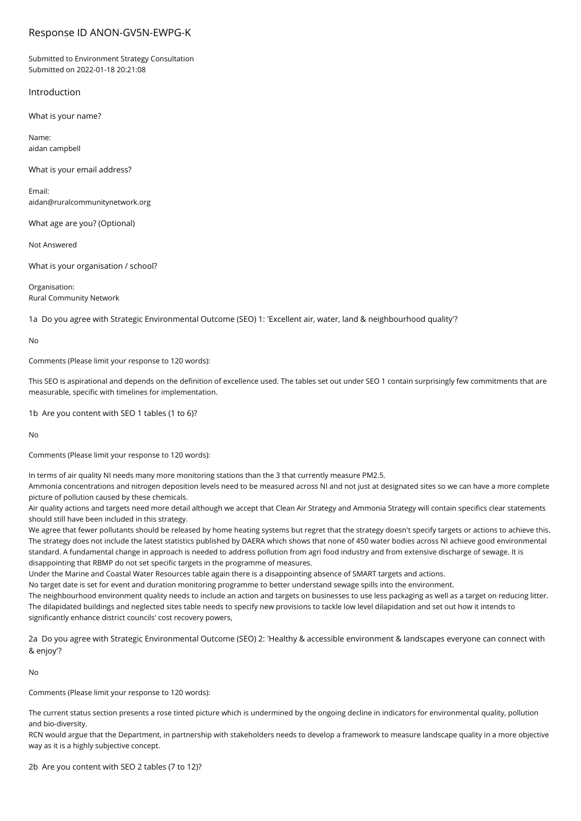## Response ID ANON-GV5N-EWPG-K

Submitted to Environment Strategy Consultation Submitted on 2022-01-18 20:21:08

## Introduction

What is your name?

Name: aidan campbell

What is your email address?

Email: aidan@ruralcommunitynetwork.org

What age are you? (Optional)

Not Answered

What is your organisation / school?

Organisation: Rural Community Network

1a Do you agree with Strategic Environmental Outcome (SEO) 1: 'Excellent air, water, land & neighbourhood quality'?

No

Comments (Please limit your response to 120 words):

This SEO is aspirational and depends on the definition of excellence used. The tables set out under SEO 1 contain surprisingly few commitments that are measurable, specific with timelines for implementation.

1b Are you content with SEO 1 tables (1 to 6)?

No

Comments (Please limit your response to 120 words):

In terms of air quality NI needs many more monitoring stations than the 3 that currently measure PM2.5.

Ammonia concentrations and nitrogen deposition levels need to be measured across NI and not just at designated sites so we can have a more complete picture of pollution caused by these chemicals.

Air quality actions and targets need more detail although we accept that Clean Air Strategy and Ammonia Strategy will contain specifics clear statements should still have been included in this strategy.

We agree that fewer pollutants should be released by home heating systems but regret that the strategy doesn't specify targets or actions to achieve this. The strategy does not include the latest statistics published by DAERA which shows that none of 450 water bodies across NI achieve good environmental standard. A fundamental change in approach is needed to address pollution from agri food industry and from extensive discharge of sewage. It is disappointing that RBMP do not set specific targets in the programme of measures.

Under the Marine and Coastal Water Resources table again there is a disappointing absence of SMART targets and actions.

No target date is set for event and duration monitoring programme to better understand sewage spills into the environment.

The neighbourhood environment quality needs to include an action and targets on businesses to use less packaging as well as a target on reducing litter. The dilapidated buildings and neglected sites table needs to specify new provisions to tackle low level dilapidation and set out how it intends to significantly enhance district councils' cost recovery powers,

2a Do you agree with Strategic Environmental Outcome (SEO) 2: 'Healthy & accessible environment & landscapes everyone can connect with & enjoy'?

No

Comments (Please limit your response to 120 words):

The current status section presents a rose tinted picture which is undermined by the ongoing decline in indicators for environmental quality, pollution and bio-diversity.

RCN would argue that the Department, in partnership with stakeholders needs to develop a framework to measure landscape quality in a more objective way as it is a highly subjective concept.

2b Are you content with SEO 2 tables (7 to 12)?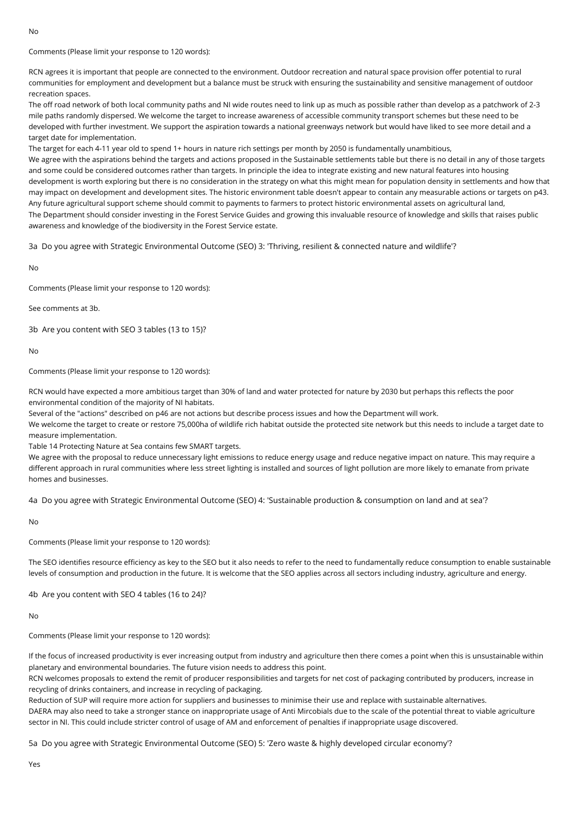Comments (Please limit your response to 120 words):

RCN agrees it is important that people are connected to the environment. Outdoor recreation and natural space provision offer potential to rural communities for employment and development but a balance must be struck with ensuring the sustainability and sensitive management of outdoor recreation spaces.

The off road network of both local community paths and NI wide routes need to link up as much as possible rather than develop as a patchwork of 2-3 mile paths randomly dispersed. We welcome the target to increase awareness of accessible community transport schemes but these need to be developed with further investment. We support the aspiration towards a national greenways network but would have liked to see more detail and a target date for implementation.

The target for each 4-11 year old to spend 1+ hours in nature rich settings per month by 2050 is fundamentally unambitious,

We agree with the aspirations behind the targets and actions proposed in the Sustainable settlements table but there is no detail in any of those targets and some could be considered outcomes rather than targets. In principle the idea to integrate existing and new natural features into housing development is worth exploring but there is no consideration in the strategy on what this might mean for population density in settlements and how that may impact on development and development sites. The historic environment table doesn't appear to contain any measurable actions or targets on p43. Any future agricultural support scheme should commit to payments to farmers to protect historic environmental assets on agricultural land, The Department should consider investing in the Forest Service Guides and growing this invaluable resource of knowledge and skills that raises public awareness and knowledge of the biodiversity in the Forest Service estate.

3a Do you agree with Strategic Environmental Outcome (SEO) 3: 'Thriving, resilient & connected nature and wildlife'?

No

Comments (Please limit your response to 120 words):

See comments at 3b.

3b Are you content with SEO 3 tables (13 to 15)?

No

Comments (Please limit your response to 120 words):

RCN would have expected a more ambitious target than 30% of land and water protected for nature by 2030 but perhaps this reflects the poor environmental condition of the majority of NI habitats.

Several of the "actions" described on p46 are not actions but describe process issues and how the Department will work.

We welcome the target to create or restore 75,000ha of wildlife rich habitat outside the protected site network but this needs to include a target date to measure implementation.

Table 14 Protecting Nature at Sea contains few SMART targets.

We agree with the proposal to reduce unnecessary light emissions to reduce energy usage and reduce negative impact on nature. This may require a different approach in rural communities where less street lighting is installed and sources of light pollution are more likely to emanate from private homes and businesses.

4a Do you agree with Strategic Environmental Outcome (SEO) 4: 'Sustainable production & consumption on land and at sea'?

No

Comments (Please limit your response to 120 words):

The SEO identifies resource efficiency as key to the SEO but it also needs to refer to the need to fundamentally reduce consumption to enable sustainable levels of consumption and production in the future. It is welcome that the SEO applies across all sectors including industry, agriculture and energy.

4b Are you content with SEO 4 tables (16 to 24)?

 $N<sub>0</sub>$ 

Comments (Please limit your response to 120 words):

If the focus of increased productivity is ever increasing output from industry and agriculture then there comes a point when this is unsustainable within planetary and environmental boundaries. The future vision needs to address this point.

RCN welcomes proposals to extend the remit of producer responsibilities and targets for net cost of packaging contributed by producers, increase in recycling of drinks containers, and increase in recycling of packaging.

Reduction of SUP will require more action for suppliers and businesses to minimise their use and replace with sustainable alternatives. DAERA may also need to take a stronger stance on inappropriate usage of Anti Mircobials due to the scale of the potential threat to viable agriculture sector in NI. This could include stricter control of usage of AM and enforcement of penalties if inappropriate usage discovered.

5a Do you agree with Strategic Environmental Outcome (SEO) 5: 'Zero waste & highly developed circular economy'?